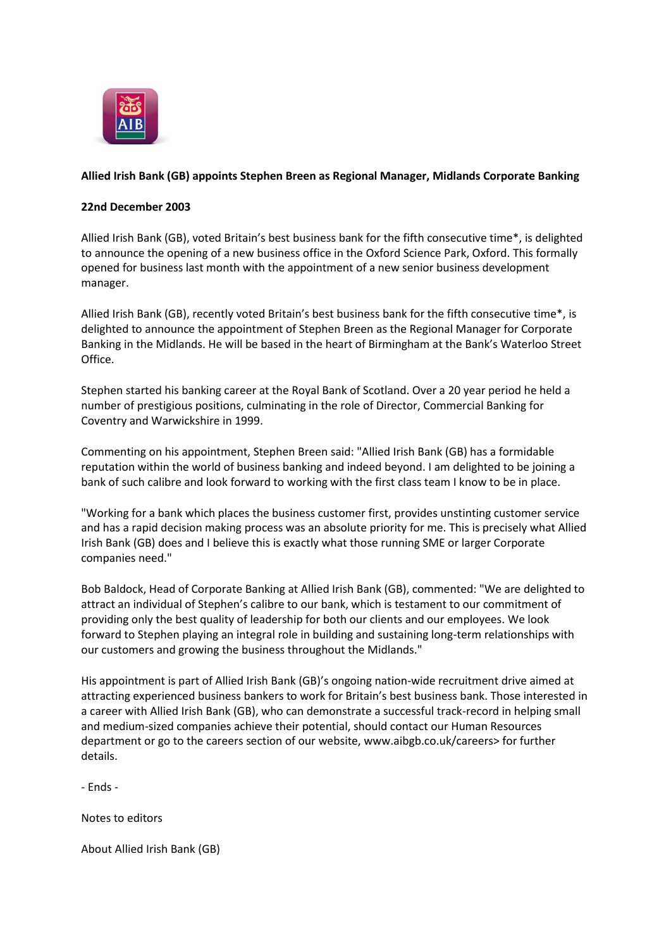

## **Allied Irish Bank (GB) appoints Stephen Breen as Regional Manager, Midlands Corporate Banking**

## **22nd December 2003**

Allied Irish Bank (GB), voted Britain's best business bank for the fifth consecutive time\*, is delighted to announce the opening of a new business office in the Oxford Science Park, Oxford. This formally opened for business last month with the appointment of a new senior business development manager.

Allied Irish Bank (GB), recently voted Britain's best business bank for the fifth consecutive time\*, is delighted to announce the appointment of Stephen Breen as the Regional Manager for Corporate Banking in the Midlands. He will be based in the heart of Birmingham at the Bank's Waterloo Street Office.

Stephen started his banking career at the Royal Bank of Scotland. Over a 20 year period he held a number of prestigious positions, culminating in the role of Director, Commercial Banking for Coventry and Warwickshire in 1999.

Commenting on his appointment, Stephen Breen said: "Allied Irish Bank (GB) has a formidable reputation within the world of business banking and indeed beyond. I am delighted to be joining a bank of such calibre and look forward to working with the first class team I know to be in place.

"Working for a bank which places the business customer first, provides unstinting customer service and has a rapid decision making process was an absolute priority for me. This is precisely what Allied Irish Bank (GB) does and I believe this is exactly what those running SME or larger Corporate companies need."

Bob Baldock, Head of Corporate Banking at Allied Irish Bank (GB), commented: "We are delighted to attract an individual of Stephen's calibre to our bank, which is testament to our commitment of providing only the best quality of leadership for both our clients and our employees. We look forward to Stephen playing an integral role in building and sustaining long-term relationships with our customers and growing the business throughout the Midlands."

His appointment is part of Allied Irish Bank (GB)'s ongoing nation-wide recruitment drive aimed at attracting experienced business bankers to work for Britain's best business bank. Those interested in a career with Allied Irish Bank (GB), who can demonstrate a successful track-record in helping small and medium-sized companies achieve their potential, should contact our Human Resources department or go to the careers section of our website, www.aibgb.co.uk/careers> for further details.

- Ends -

Notes to editors

About Allied Irish Bank (GB)